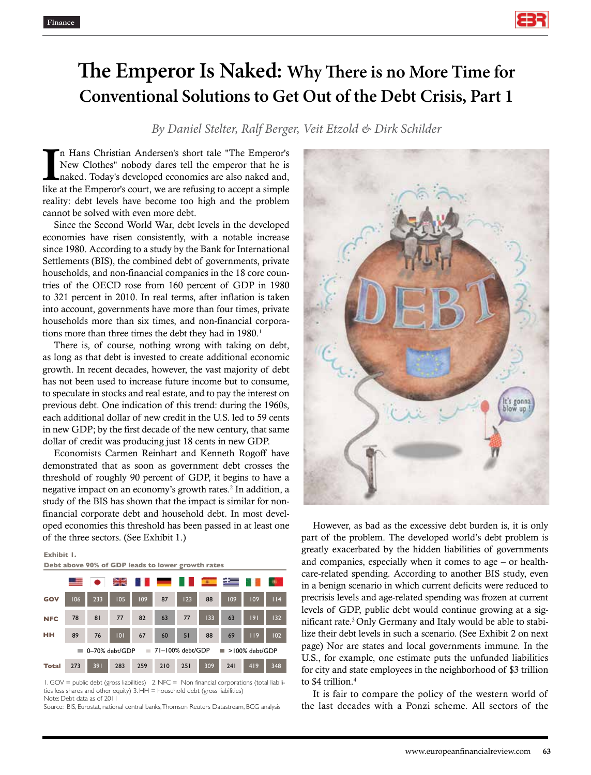

# **The Emperor Is Naked: Why There is no More Time for Conventional Solutions to Get Out of the Debt Crisis, Part 1**

*By Daniel Stelter, Ralf Berger, Veit Etzold & Dirk Schilder*

In Hans Christian Andersen's short tale "The Emperor's New Clothes" nobody dares tell the emperor that he is naked. Today's developed economies are also naked and, like at the Emperor's court, we are refusing to accept a s n Hans Christian Andersen's short tale "The Emperor's New Clothes" nobody dares tell the emperor that he is naked. Today's developed economies are also naked and, reality: debt levels have become too high and the problem cannot be solved with even more debt.

Since the Second World War, debt levels in the developed economies have risen consistently, with a notable increase since 1980. According to a study by the Bank for International Settlements (BIS), the combined debt of governments, private households, and non-financial companies in the 18 core countries of the OECD rose from 160 percent of GDP in 1980 to 321 percent in 2010. In real terms, after inflation is taken into account, governments have more than four times, private households more than six times, and non-financial corporations more than three times the debt they had in 1980.<sup>1</sup>

There is, of course, nothing wrong with taking on debt, as long as that debt is invested to create additional economic growth. In recent decades, however, the vast majority of debt has not been used to increase future income but to consume, to speculate in stocks and real estate, and to pay the interest on previous debt. One indication of this trend: during the 1960s, each additional dollar of new credit in the U.S. led to 59 cents in new GDP; by the first decade of the new century, that same dollar of credit was producing just 18 cents in new GDP.

Economists Carmen Reinhart and Kenneth Rogoff have demonstrated that as soon as government debt crosses the threshold of roughly 90 percent of GDP, it begins to have a negative impact on an economy's growth rates.<sup>2</sup> In addition, a study of the BIS has shown that the impact is similar for nonfinancial corporate debt and household debt. In most developed economies this threshold has been passed in at least one of the three sectors. (See Exhibit 1.)

#### **Exhibit 1.**

**Debt above 90% of GDP leads to lower growth rates**

|                                                            |     |     | ≍≍  |     |     |     | $-40 - 1$ | star |     |       |
|------------------------------------------------------------|-----|-----|-----|-----|-----|-----|-----------|------|-----|-------|
| GOV                                                        | 106 | 233 | 105 | 109 | 87  | 123 | 88        | 109  | 109 | 114   |
| <b>NFC</b>                                                 | 78  | 81  | 77  | 82  | 63  | 77  | 133       | 63   | 9   | $132$ |
| нн                                                         | 89  | 76  | 101 | 67  | 60  | 51  | 88        | 69   | 119 | 102   |
| 71-100% debt/GDP<br>0-70% debt/GDP<br>>100% debt/GDP<br>T. |     |     |     |     |     |     |           |      |     |       |
| <b>Total</b>                                               | 273 | 391 | 283 | 259 | 210 | 251 | 309       | 241  | 419 | 348   |

1. GOV = public debt (gross liabilities) 2. NFC = Non financial corporations (total liabilities less shares and other equity) 3. HH = household debt (gross liabilities) Note: Debt data as of 2011

Source: BIS, Eurostat, national central banks, Thomson Reuters Datastream, BCG analysis



However, as bad as the excessive debt burden is, it is only part of the problem. The developed world's debt problem is greatly exacerbated by the hidden liabilities of governments and companies, especially when it comes to age – or healthcare-related spending. According to another BIS study, even in a benign scenario in which current deficits were reduced to precrisis levels and age-related spending was frozen at current levels of GDP, public debt would continue growing at a significant rate.3 Only Germany and Italy would be able to stabilize their debt levels in such a scenario. (See Exhibit 2 on next page) Nor are states and local governments immune. In the U.S., for example, one estimate puts the unfunded liabilities for city and state employees in the neighborhood of \$3 trillion to \$4 trillion.<sup>4</sup>

It is fair to compare the policy of the western world of the last decades with a Ponzi scheme. All sectors of the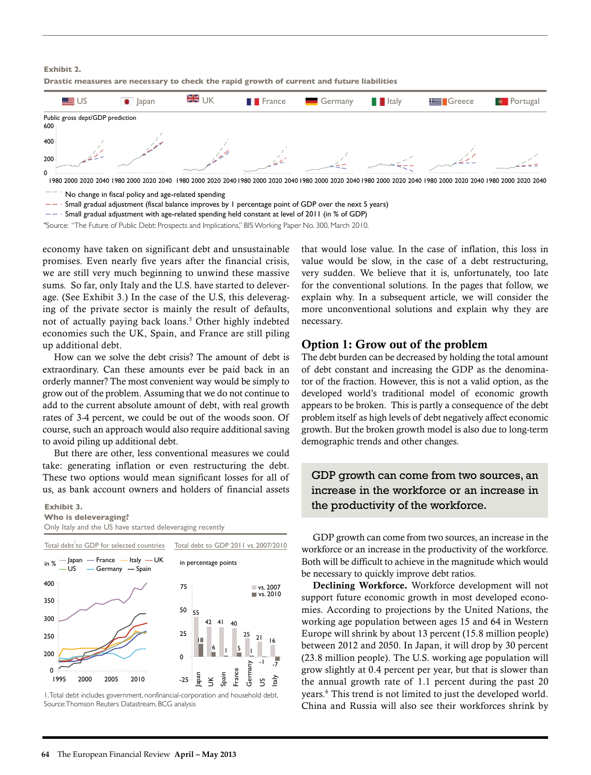**Exhibit 2.**

**Drastic measures are necessary to check the rapid growth of current and future liabilities**



No change in fiscal policy and age-related spending

 $-$  Small gradual adjustment (fiscal balance improves by 1 percentage point of GDP over the next 5 years)

 $---$  Small gradual adjustment with age-related spending held constant at level of 2011 (in % of GDP)

"Source: "The Future of Public Debt: Prospects and Implications," BIS Working Paper No. 300, March 2010.

economy have taken on significant debt and unsustainable promises. Even nearly five years after the financial crisis, we are still very much beginning to unwind these massive sums. So far, only Italy and the U.S. have started to deleverage. (See Exhibit 3.) In the case of the U.S, this deleveraging of the private sector is mainly the result of defaults, not of actually paying back loans.<sup>5</sup> Other highly indebted economies such the UK, Spain, and France are still piling up additional debt.

How can we solve the debt crisis? The amount of debt is extraordinary. Can these amounts ever be paid back in an orderly manner? The most convenient way would be simply to grow out of the problem. Assuming that we do not continue to add to the current absolute amount of debt, with real growth rates of 3-4 percent, we could be out of the woods soon. Of course, such an approach would also require additional saving to avoid piling up additional debt.

But there are other, less conventional measures we could take: generating inflation or even restructuring the debt. These two options would mean significant losses for all of us, as bank account owners and holders of financial assets

### **Exhibit 3.**

**Who is deleveraging?** Only Italy and the US have started deleveraging recently



1. Total debt includes government, nonfinancial-corporation and household debt. Source: Thomson Reuters Datastream, BCG analysis

that would lose value. In the case of inflation, this loss in value would be slow, in the case of a debt restructuring, very sudden. We believe that it is, unfortunately, too late for the conventional solutions. In the pages that follow, we explain why. In a subsequent article, we will consider the more unconventional solutions and explain why they are necessary.

## Option 1: Grow out of the problem

The debt burden can be decreased by holding the total amount of debt constant and increasing the GDP as the denominator of the fraction. However, this is not a valid option, as the developed world's traditional model of economic growth appears to be broken. This is partly a consequence of the debt problem itself as high levels of debt negatively affect economic growth. But the broken growth model is also due to long-term demographic trends and other changes.

GDP growth can come from two sources, an increase in the workforce or an increase in the productivity of the workforce.

GDP growth can come from two sources, an increase in the workforce or an increase in the productivity of the workforce. Both will be difficult to achieve in the magnitude which would be necessary to quickly improve debt ratios.

Declining Workforce. Workforce development will not support future economic growth in most developed economies. According to projections by the United Nations, the working age population between ages 15 and 64 in Western Europe will shrink by about 13 percent (15.8 million people) between 2012 and 2050. In Japan, it will drop by 30 percent (23.8 million people). The U.S. working age population will grow slightly at 0.4 percent per year, but that is slower than the annual growth rate of 1.1 percent during the past 20 years.6 This trend is not limited to just the developed world. China and Russia will also see their workforces shrink by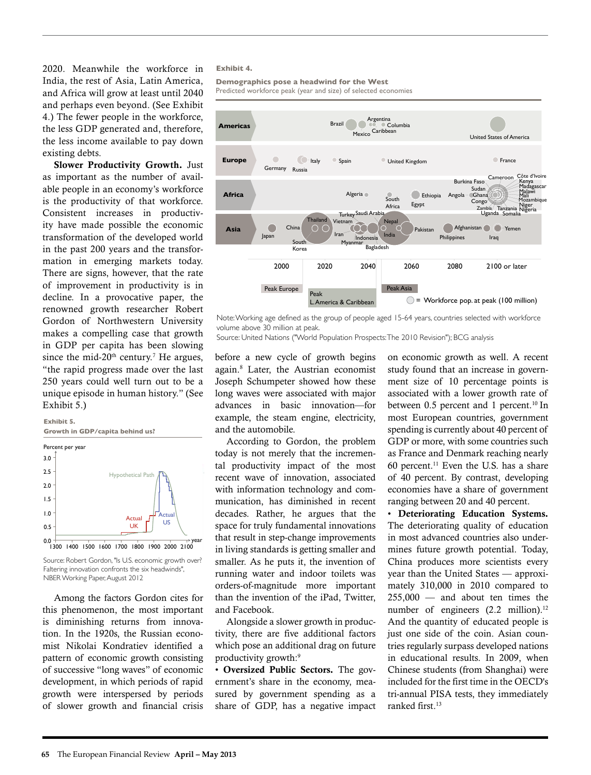2020. Meanwhile the workforce in India, the rest of Asia, Latin America, and Africa will grow at least until 2040 and perhaps even beyond. (See Exhibit 4.) The fewer people in the workforce, the less GDP generated and, therefore, the less income available to pay down existing debts.

Slower Productivity Growth. Just as important as the number of available people in an economy's workforce is the productivity of that workforce. Consistent increases in productivity have made possible the economic transformation of the developed world in the past 200 years and the transformation in emerging markets today. There are signs, however, that the rate of improvement in productivity is in decline. In a provocative paper, the renowned growth researcher Robert Gordon of Northwestern University makes a compelling case that growth in GDP per capita has been slowing since the mid-20<sup>th</sup> century.<sup>7</sup> He argues, "the rapid progress made over the last 250 years could well turn out to be a unique episode in human history." (See Exhibit 5.)



Source: Robert Gordon, "Is U.S. economic growth over? Faltering innovation confronts the six headwinds", NBER Working Paper, August 2012

Among the factors Gordon cites for this phenomenon, the most important is diminishing returns from innovation. In the 1920s, the Russian economist Nikolai Kondratiev identified a pattern of economic growth consisting of successive "long waves" of economic development, in which periods of rapid growth were interspersed by periods of slower growth and financial crisis

## **Exhibit 4.**

**Demographics pose a headwind for the West** Predicted workforce peak (year and size) of selected economies



Note: Working age defined as the group of people aged 15-64 years, countries selected with workforce volume above 30 million at peak.

Source: United Nations ("World Population Prospects: The 2010 Revision"); BCG analysis

before a new cycle of growth begins again.8 Later, the Austrian economist Joseph Schumpeter showed how these long waves were associated with major advances in basic innovation—for example, the steam engine, electricity, and the automobile.

According to Gordon, the problem today is not merely that the incremental productivity impact of the most recent wave of innovation, associated with information technology and communication, has diminished in recent decades. Rather, he argues that the space for truly fundamental innovations that result in step-change improvements in living standards is getting smaller and smaller. As he puts it, the invention of running water and indoor toilets was orders-of-magnitude more important than the invention of the iPad, Twitter, and Facebook.

Alongside a slower growth in productivity, there are five additional factors which pose an additional drag on future productivity growth:9

• Oversized Public Sectors. The government's share in the economy, measured by government spending as a share of GDP, has a negative impact

on economic growth as well. A recent study found that an increase in government size of 10 percentage points is associated with a lower growth rate of between  $0.5$  percent and 1 percent.<sup>10</sup> In most European countries, government spending is currently about 40 percent of GDP or more, with some countries such as France and Denmark reaching nearly 60 percent.<sup>11</sup> Even the U.S. has a share of 40 percent. By contrast, developing economies have a share of government ranging between 20 and 40 percent.

• Deteriorating Education Systems. The deteriorating quality of education in most advanced countries also undermines future growth potential. Today, China produces more scientists every year than the United States — approximately 310,000 in 2010 compared to 255,000 — and about ten times the number of engineers  $(2.2 \text{ million})$ .<sup>12</sup> And the quantity of educated people is just one side of the coin. Asian countries regularly surpass developed nations in educational results. In 2009, when Chinese students (from Shanghai) were included for the first time in the OECD's tri-annual PISA tests, they immediately ranked first.<sup>13</sup>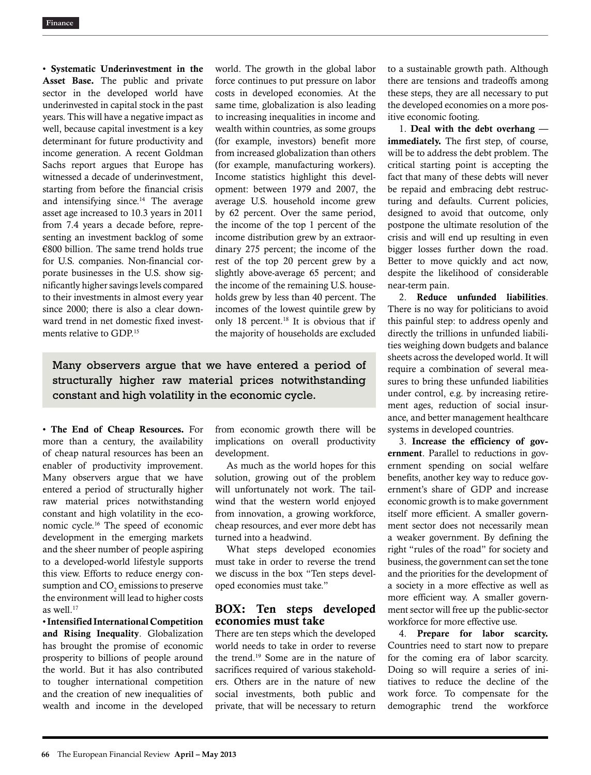• Systematic Underinvestment in the Asset Base. The public and private sector in the developed world have underinvested in capital stock in the past years. This will have a negative impact as well, because capital investment is a key determinant for future productivity and income generation. A recent Goldman Sachs report argues that Europe has witnessed a decade of underinvestment, starting from before the financial crisis and intensifying since. $14$  The average asset age increased to 10.3 years in 2011 from 7.4 years a decade before, representing an investment backlog of some €800 billion. The same trend holds true for U.S. companies. Non-financial corporate businesses in the U.S. show significantly higher savings levels compared to their investments in almost every year since 2000; there is also a clear downward trend in net domestic fixed investments relative to GDP.15

world. The growth in the global labor force continues to put pressure on labor costs in developed economies. At the same time, globalization is also leading to increasing inequalities in income and wealth within countries, as some groups (for example, investors) benefit more from increased globalization than others (for example, manufacturing workers). Income statistics highlight this development: between 1979 and 2007, the average U.S. household income grew by 62 percent. Over the same period, the income of the top 1 percent of the income distribution grew by an extraordinary 275 percent; the income of the rest of the top 20 percent grew by a slightly above-average 65 percent; and the income of the remaining U.S. households grew by less than 40 percent. The incomes of the lowest quintile grew by only 18 percent.<sup>18</sup> It is obvious that if the majority of households are excluded

Many observers argue that we have entered a period of structurally higher raw material prices notwithstanding constant and high volatility in the economic cycle.

• The End of Cheap Resources. For more than a century, the availability of cheap natural resources has been an enabler of productivity improvement. Many observers argue that we have entered a period of structurally higher raw material prices notwithstanding constant and high volatility in the economic cycle.16 The speed of economic development in the emerging markets and the sheer number of people aspiring to a developed-world lifestyle supports this view. Efforts to reduce energy consumption and  $\mathrm{CO}_2$  emissions to preserve the environment will lead to higher costs as well.17

• Intensified International Competition and Rising Inequality. Globalization has brought the promise of economic prosperity to billions of people around the world. But it has also contributed to tougher international competition and the creation of new inequalities of wealth and income in the developed from economic growth there will be implications on overall productivity development.

As much as the world hopes for this solution, growing out of the problem will unfortunately not work. The tailwind that the western world enjoyed from innovation, a growing workforce, cheap resources, and ever more debt has turned into a headwind.

What steps developed economies must take in order to reverse the trend we discuss in the box "Ten steps developed economies must take."

## BOX: Ten steps developed economies must take

There are ten steps which the developed world needs to take in order to reverse the trend.19 Some are in the nature of sacrifices required of various stakeholders. Others are in the nature of new social investments, both public and private, that will be necessary to return

to a sustainable growth path. Although there are tensions and tradeoffs among these steps, they are all necessary to put the developed economies on a more positive economic footing.

1. Deal with the debt overhang immediately. The first step, of course, will be to address the debt problem. The critical starting point is accepting the fact that many of these debts will never be repaid and embracing debt restructuring and defaults. Current policies, designed to avoid that outcome, only postpone the ultimate resolution of the crisis and will end up resulting in even bigger losses further down the road. Better to move quickly and act now, despite the likelihood of considerable near-term pain.

2. Reduce unfunded liabilities. There is no way for politicians to avoid this painful step: to address openly and directly the trillions in unfunded liabilities weighing down budgets and balance sheets across the developed world. It will require a combination of several measures to bring these unfunded liabilities under control, e.g. by increasing retirement ages, reduction of social insurance, and better management healthcare systems in developed countries.

3. Increase the efficiency of government. Parallel to reductions in government spending on social welfare benefits, another key way to reduce government's share of GDP and increase economic growth is to make government itself more efficient. A smaller government sector does not necessarily mean a weaker government. By defining the right "rules of the road" for society and business, the government can set the tone and the priorities for the development of a society in a more effective as well as more efficient way. A smaller government sector will free up the public-sector workforce for more effective use.

4. Prepare for labor scarcity. Countries need to start now to prepare for the coming era of labor scarcity. Doing so will require a series of initiatives to reduce the decline of the work force. To compensate for the demographic trend the workforce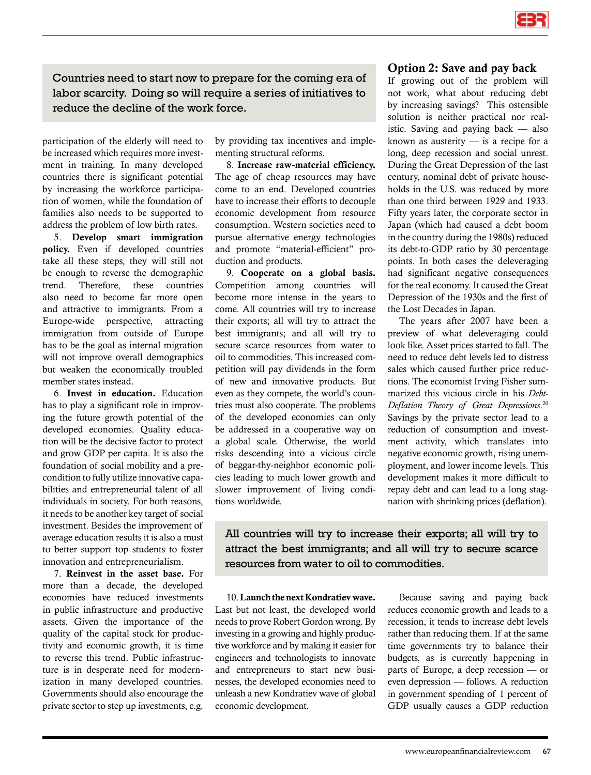

Countries need to start now to prepare for the coming era of labor scarcity. Doing so will require a series of initiatives to reduce the decline of the work force.

participation of the elderly will need to be increased which requires more investment in training. In many developed countries there is significant potential by increasing the workforce participation of women, while the foundation of families also needs to be supported to address the problem of low birth rates.

5. Develop smart immigration policy. Even if developed countries take all these steps, they will still not be enough to reverse the demographic trend. Therefore, these countries also need to become far more open and attractive to immigrants. From a Europe-wide perspective, attracting immigration from outside of Europe has to be the goal as internal migration will not improve overall demographics but weaken the economically troubled member states instead.

6. Invest in education. Education has to play a significant role in improving the future growth potential of the developed economies. Quality education will be the decisive factor to protect and grow GDP per capita. It is also the foundation of social mobility and a precondition to fully utilize innovative capabilities and entrepreneurial talent of all individuals in society. For both reasons, it needs to be another key target of social investment. Besides the improvement of average education results it is also a must to better support top students to foster innovation and entrepreneurialism.

7. Reinvest in the asset base. For more than a decade, the developed economies have reduced investments in public infrastructure and productive assets. Given the importance of the quality of the capital stock for productivity and economic growth, it is time to reverse this trend. Public infrastructure is in desperate need for modernization in many developed countries. Governments should also encourage the private sector to step up investments, e.g.

by providing tax incentives and implementing structural reforms.

8. Increase raw-material efficiency. The age of cheap resources may have come to an end. Developed countries have to increase their efforts to decouple economic development from resource consumption. Western societies need to pursue alternative energy technologies and promote "material-efficient" production and products.

9. Cooperate on a global basis. Competition among countries will become more intense in the years to come. All countries will try to increase their exports; all will try to attract the best immigrants; and all will try to secure scarce resources from water to oil to commodities. This increased competition will pay dividends in the form of new and innovative products. But even as they compete, the world's countries must also cooperate. The problems of the developed economies can only be addressed in a cooperative way on a global scale. Otherwise, the world risks descending into a vicious circle of beggar-thy-neighbor economic policies leading to much lower growth and slower improvement of living conditions worldwide.

## Option 2: Save and pay back

If growing out of the problem will not work, what about reducing debt by increasing savings? This ostensible solution is neither practical nor realistic. Saving and paying back — also known as austerity — is a recipe for a long, deep recession and social unrest. During the Great Depression of the last century, nominal debt of private households in the U.S. was reduced by more than one third between 1929 and 1933. Fifty years later, the corporate sector in Japan (which had caused a debt boom in the country during the 1980s) reduced its debt-to-GDP ratio by 30 percentage points. In both cases the deleveraging had significant negative consequences for the real economy. It caused the Great Depression of the 1930s and the first of the Lost Decades in Japan.

The years after 2007 have been a preview of what deleveraging could look like. Asset prices started to fall. The need to reduce debt levels led to distress sales which caused further price reductions. The economist Irving Fisher summarized this vicious circle in his *Debt-Deflation Theory of Great Depressions*. 20 Savings by the private sector lead to a reduction of consumption and investment activity, which translates into negative economic growth, rising unemployment, and lower income levels. This development makes it more difficult to repay debt and can lead to a long stagnation with shrinking prices (deflation).

All countries will try to increase their exports; all will try to attract the best immigrants; and all will try to secure scarce resources from water to oil to commodities.

10. Launch the next Kondratiev wave. Last but not least, the developed world needs to prove Robert Gordon wrong. By investing in a growing and highly productive workforce and by making it easier for engineers and technologists to innovate and entrepreneurs to start new businesses, the developed economies need to unleash a new Kondratiev wave of global economic development.

Because saving and paying back reduces economic growth and leads to a recession, it tends to increase debt levels rather than reducing them. If at the same time governments try to balance their budgets, as is currently happening in parts of Europe, a deep recession — or even depression — follows. A reduction in government spending of 1 percent of GDP usually causes a GDP reduction